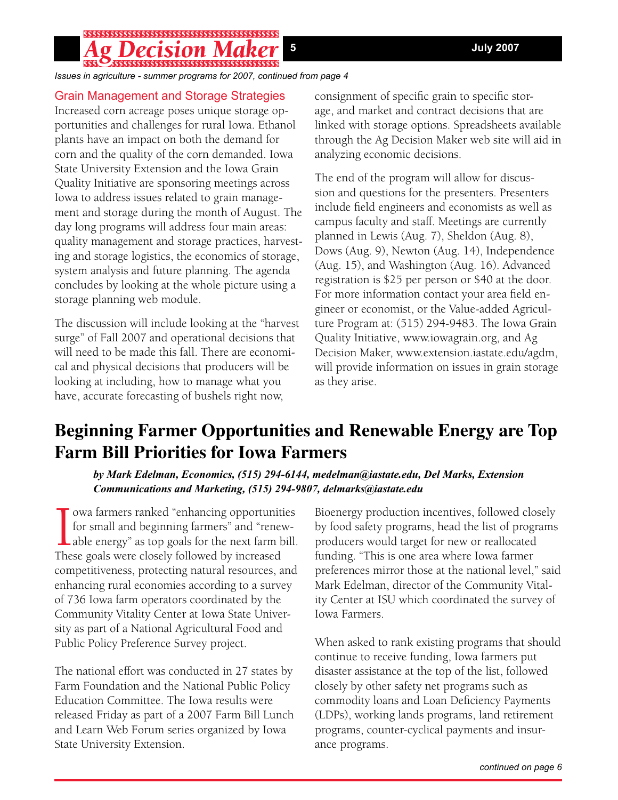# 

*Issues in agriculture - summer programs for 2007, continued from page 4*

### Grain Management and Storage Strategies

Increased corn acreage poses unique storage opportunities and challenges for rural Iowa. Ethanol plants have an impact on both the demand for corn and the quality of the corn demanded. Iowa State University Extension and the Iowa Grain Quality Initiative are sponsoring meetings across Iowa to address issues related to grain management and storage during the month of August. The day long programs will address four main areas: quality management and storage practices, harvesting and storage logistics, the economics of storage, system analysis and future planning. The agenda concludes by looking at the whole picture using a storage planning web module.

The discussion will include looking at the "harvest surge" of Fall 2007 and operational decisions that will need to be made this fall. There are economical and physical decisions that producers will be looking at including, how to manage what you have, accurate forecasting of bushels right now,

consignment of specific grain to specific storage, and market and contract decisions that are linked with storage options. Spreadsheets available through the Ag Decision Maker web site will aid in analyzing economic decisions.

The end of the program will allow for discussion and questions for the presenters. Presenters include field engineers and economists as well as campus faculty and staff. Meetings are currently planned in Lewis (Aug. 7), Sheldon (Aug. 8), Dows (Aug. 9), Newton (Aug. 14), Independence (Aug. 15), and Washington (Aug. 16). Advanced registration is \$25 per person or \$40 at the door. For more information contact your area field engineer or economist, or the Value-added Agriculture Program at: (515) 294-9483. The Iowa Grain Quality Initiative, www.iowagrain.org, and Ag Decision Maker, www.extension.iastate.edu/agdm, will provide information on issues in grain storage as they arise.

# **Beginning Farmer Opportunities and Renewable Energy are Top Farm Bill Priorities for Iowa Farmers**

*by Mark Edelman, Economics, (515) 294-6144, medelman@iastate.edu, Del Marks, Extension Communications and Marketing, (515) 294-9807, delmarks@iastate.edu*

 $\prod_{\text{The } }$ owa farmers ranked "enhancing opportunities for small and beginning farmers" and "renewable energy" as top goals for the next farm bill. These goals were closely followed by increased competitiveness, protecting natural resources, and enhancing rural economies according to a survey of 736 Iowa farm operators coordinated by the Community Vitality Center at Iowa State University as part of a National Agricultural Food and Public Policy Preference Survey project.

The national effort was conducted in 27 states by Farm Foundation and the National Public Policy Education Committee. The Iowa results were released Friday as part of a 2007 Farm Bill Lunch and Learn Web Forum series organized by Iowa State University Extension.

Bioenergy production incentives, followed closely by food safety programs, head the list of programs producers would target for new or reallocated funding. "This is one area where Iowa farmer preferences mirror those at the national level," said Mark Edelman, director of the Community Vitality Center at ISU which coordinated the survey of Iowa Farmers.

When asked to rank existing programs that should continue to receive funding, Iowa farmers put disaster assistance at the top of the list, followed closely by other safety net programs such as commodity loans and Loan Deficiency Payments (LDPs), working lands programs, land retirement programs, counter-cyclical payments and insurance programs.